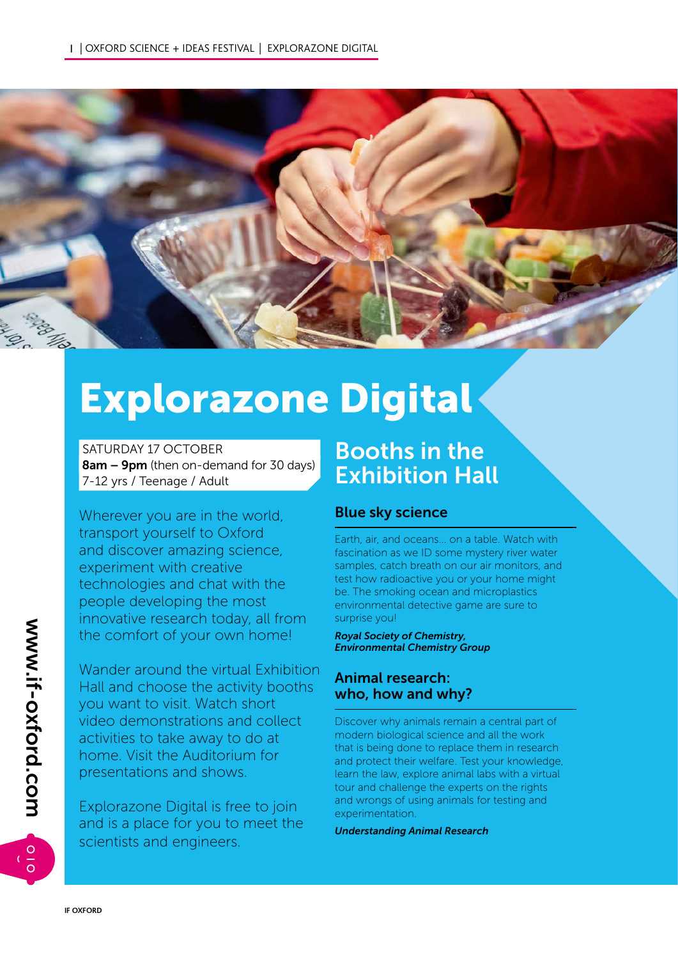

# Explorazone Digital

 SATURDAY 17 OCTOBER 8am – 9pm (then on-demand for 30 days) 7-12 yrs / Teenage / Adult

Wherever you are in the world, transport yourself to Oxford and discover amazing science, experiment with creative technologies and chat with the people developing the most innovative research today, all from the comfort of your own home!

Wander around the virtual Exhibition Hall and choose the activity booths you want to visit. Watch short video demonstrations and collect activities to take away to do at home. Visit the Auditorium for presentations and shows.

Explorazone Digital is free to join and is a place for you to meet the scientists and engineers.

# Booths in the Exhibition Hall

# Blue sky science

Earth, air, and oceans... on a table. Watch with fascination as we ID some mystery river water samples, catch breath on our air monitors, and test how radioactive you or your home might be. The smoking ocean and microplastics environmental detective game are sure to surprise you!

*Royal Society of Chemistry, Environmental Chemistry Group*

# Animal research: who, how and why?

Discover why animals remain a central part of modern biological science and all the work that is being done to replace them in research and protect their welfare. Test your knowledge, learn the law, explore animal labs with a virtual tour and challenge the experts on the rights and wrongs of using animals for testing and experimentation.

*Understanding Animal Research*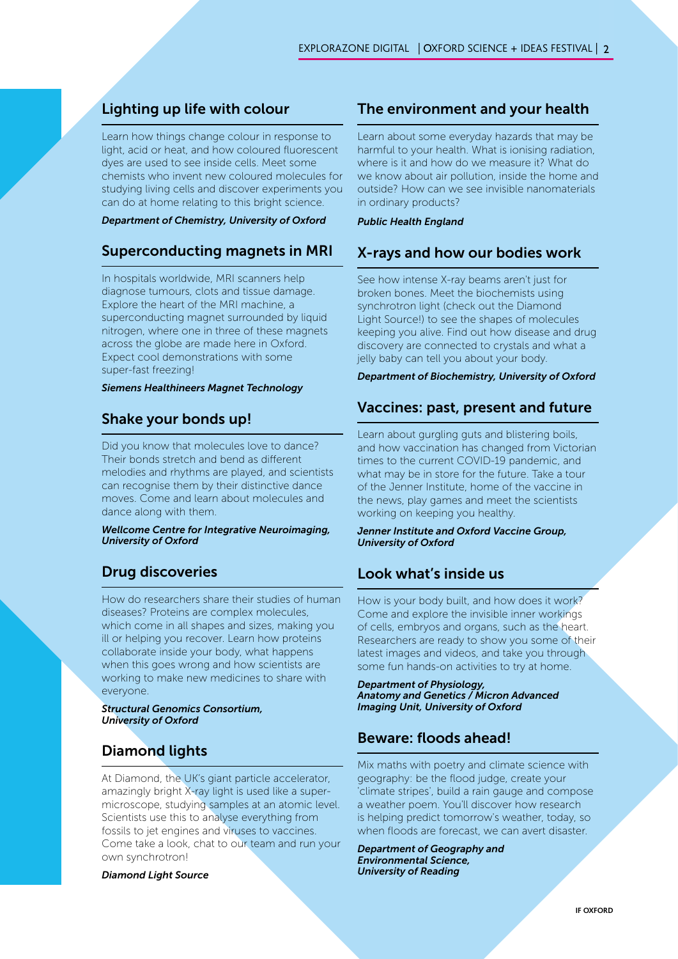# Lighting up life with colour

Learn how things change colour in response to light, acid or heat, and how coloured fluorescent dyes are used to see inside cells. Meet some chemists who invent new coloured molecules for studying living cells and discover experiments you can do at home relating to this bright science.

#### *Department of Chemistry, University of Oxford*

# Superconducting magnets in MRI

In hospitals worldwide, MRI scanners help diagnose tumours, clots and tissue damage. Explore the heart of the MRI machine, a superconducting magnet surrounded by liquid nitrogen, where one in three of these magnets across the globe are made here in Oxford. Expect cool demonstrations with some super-fast freezing!

#### *Siemens Healthineers Magnet Technology*

# Shake your bonds up!

Did you know that molecules love to dance? Their bonds stretch and bend as different melodies and rhythms are played, and scientists can recognise them by their distinctive dance moves. Come and learn about molecules and dance along with them.

*Wellcome Centre for Integrative Neuroimaging, University of Oxford*

# Drug discoveries

How do researchers share their studies of human diseases? Proteins are complex molecules, which come in all shapes and sizes, making you ill or helping you recover. Learn how proteins collaborate inside your body, what happens when this goes wrong and how scientists are working to make new medicines to share with everyone.

*Structural Genomics Consortium, University of Oxford*

# Diamond lights

At Diamond, the UK's giant particle accelerator, amazingly bright X-ray light is used like a supermicroscope, studying samples at an atomic level. Scientists use this to analyse everything from fossils to jet engines and viruses to vaccines. Come take a look, chat to our team and run your own synchrotron!

*Diamond Light Source*

# The environment and your health

Learn about some everyday hazards that may be harmful to your health. What is ionising radiation, where is it and how do we measure it? What do we know about air pollution, inside the home and outside? How can we see invisible nanomaterials in ordinary products?

#### *Public Health England*

#### X-rays and how our bodies work

See how intense X-ray beams aren't just for broken bones. Meet the biochemists using synchrotron light (check out the Diamond Light Source!) to see the shapes of molecules keeping you alive. Find out how disease and drug discovery are connected to crystals and what a jelly baby can tell you about your body.

#### *Department of Biochemistry, University of Oxford*

#### Vaccines: past, present and future

Learn about gurgling guts and blistering boils, and how vaccination has changed from Victorian times to the current COVID-19 pandemic, and what may be in store for the future. Take a tour of the Jenner Institute, home of the vaccine in the news, play games and meet the scientists working on keeping you healthy.

#### *Jenner Institute and Oxford Vaccine Group, University of Oxford*

# Look what's inside us

How is your body built, and how does it work? Come and explore the invisible inner workings of cells, embryos and organs, such as the heart. Researchers are ready to show you some of their latest images and videos, and take you through some fun hands-on activities to try at home.

*Department of Physiology, Anatomy and Genetics / Micron Advanced Imaging Unit, University of Oxford*

#### Beware: floods ahead!

Mix maths with poetry and climate science with geography: be the flood judge, create your 'climate stripes', build a rain gauge and compose a weather poem. You'll discover how research is helping predict tomorrow's weather, today, so when floods are forecast, we can avert disaster.

*Department of Geography and Environmental Science, University of Reading*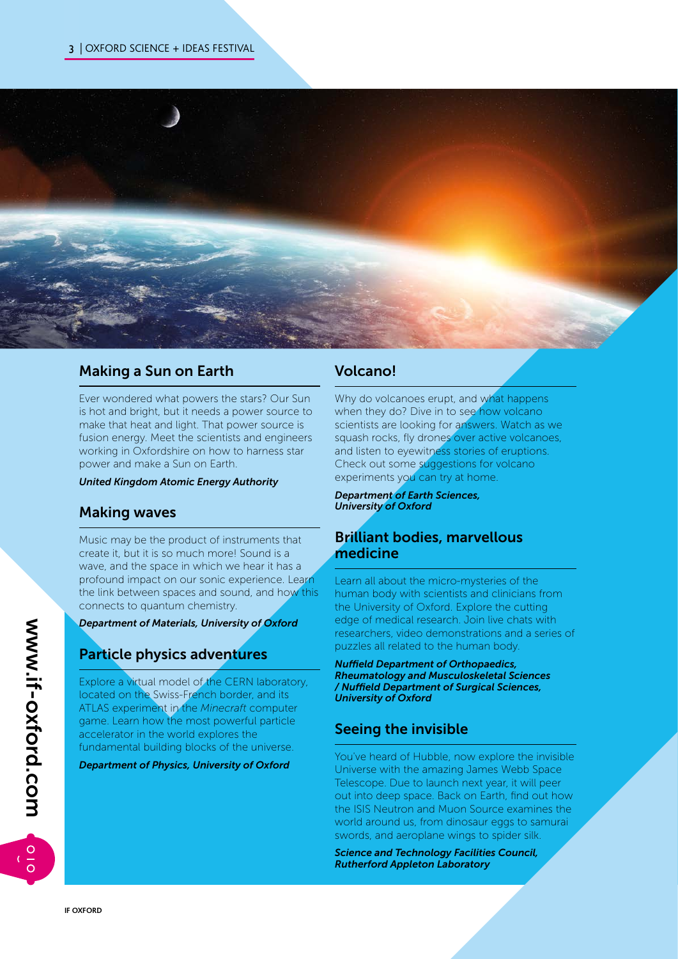

# Making a Sun on Earth

Ever wondered what powers the stars? Our Sun is hot and bright, but it needs a power source to make that heat and light. That power source is fusion energy. Meet the scientists and engineers working in Oxfordshire on how to harness star power and make a Sun on Earth.

*United Kingdom Atomic Energy Authority*

# Making waves

Music may be the product of instruments that create it, but it is so much more! Sound is a wave, and the space in which we hear it has a profound impact on our sonic experience. Learn the link between spaces and sound, and how this connects to quantum chemistry.

#### *Department of Materials, University of Oxford*

# Particle physics adventures

Explore a virtual model of the CERN laboratory, located on the Swiss-French border, and its ATLAS experiment in the *Minecraft* computer game. Learn how the most powerful particle accelerator in the world explores the fundamental building blocks of the universe.

*Department of Physics, University of Oxford*

# Volcano!

Why do volcanoes erupt, and what happens when they do? Dive in to see how volcano scientists are looking for answers. Watch as we squash rocks, fly drones over active volcanoes, and listen to eyewitness stories of eruptions. Check out some suggestions for volcano experiments you can try at home.

*Department of Earth Sciences, University of Oxford*

# Brilliant bodies, marvellous medicine

Learn all about the micro-mysteries of the human body with scientists and clinicians from the University of Oxford. Explore the cutting edge of medical research. Join live chats with researchers, video demonstrations and a series of puzzles all related to the human body.

*Nuffield Department of Orthopaedics, Rheumatology and Musculoskeletal Sciences / Nuffield Department of Surgical Sciences, University of Oxford*

# Seeing the invisible

You've heard of Hubble, now explore the invisible Universe with the amazing James Webb Space Telescope. Due to launch next year, it will peer out into deep space. Back on Earth, find out how the ISIS Neutron and Muon Source examines the world around us, from dinosaur eggs to samurai swords, and aeroplane wings to spider silk.

*Science and Technology Facilities Council, Rutherford Appleton Laboratory*

 $\circ$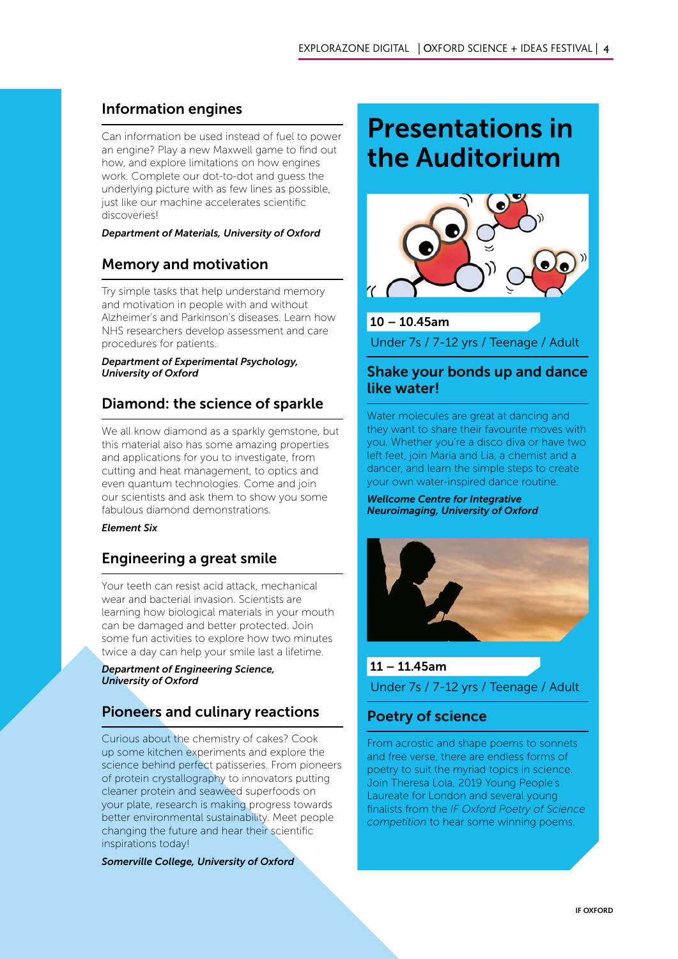# Information engines

Can information be used instead of fuel to power an engine? Play a new Maxwell game to find out how, and explore limitations on how engines work. Complete our dot-to-dot and guess the underlying picture with as few lines as possible, just like our machine accelerates scientific discoveries!

#### *Department of Materials, University of Oxford*

# Memory and motivation

Try simple tasks that help understand memory and motivation in people with and without Alzheimer's and Parkinson's diseases. Learn how NHS researchers develop assessment and care procedures for patients.

#### *Department of Experimental Psychology, University of Oxford*

# Diamond: the science of sparkle

We all know diamond as a sparkly gemstone, but this material also has some amazing properties and applications for you to investigate, from cutting and heat management, to optics and even quantum technologies. Come and join our scientists and ask them to show you some fabulous diamond demonstrations.

#### *Element Six*

# Engineering a great smile

Your teeth can resist acid attack, mechanical wear and bacterial invasion. Scientists are learning how biological materials in your mouth can be damaged and better protected. Join some fun activities to explore how two minutes twice a day can help your smile last a lifetime.

*Department of Engineering Science, University of Oxford*

# Pioneers and culinary reactions

Curious about the chemistry of cakes? Cook up some kitchen experiments and explore the science behind perfect patisseries. From pioneers of protein crystallography to innovators putting cleaner protein and seaweed superfoods on your plate, research is making progress towards better environmental sustainability. Meet people changing the future and hear their scientific inspirations today!

*Somerville College, University of Oxford*

# Presentations in the Auditorium

![](_page_3_Picture_17.jpeg)

## 10 – 10.45am

Under 7s / 7-12 yrs / Teenage / Adult

# Shake your bonds up and dance like water!

Water molecules are great at dancing and they want to share their favourite moves with you. Whether you're a disco diva or have two left feet, join Maria and Lia, a chemist and a dancer, and learn the simple steps to create your own water-inspired dance routine.

*Wellcome Centre for Integrative Neuroimaging, University of Oxford*

![](_page_3_Picture_23.jpeg)

# 11 – 11.45am Under 7s / 7-12 yrs / Teenage / Adult

# Poetry of science

From acrostic and shape poems to sonnets and free verse, there are endless forms of poetry to suit the myriad topics in science. Join Theresa Lola, 2019 Young People's Laureate for London and several young finalists from the *IF Oxford Poetry of Science competition* to hear some winning poems.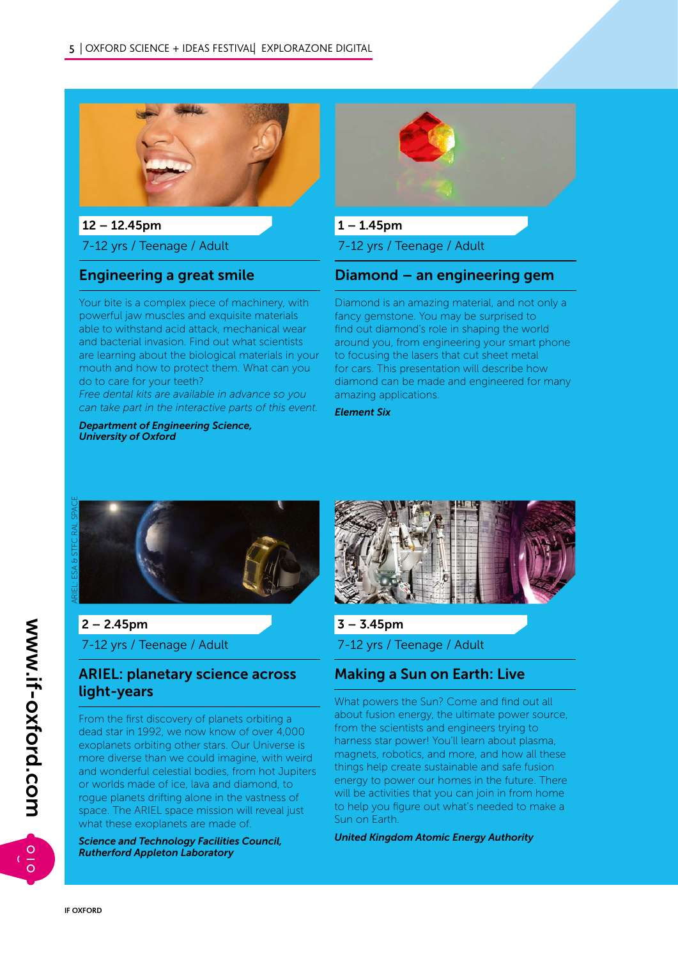![](_page_4_Picture_1.jpeg)

 $12 - 12.45$ pm

7-12 yrs / Teenage / Adult

## Engineering a great smile

Your bite is a complex piece of machinery, with powerful jaw muscles and exquisite materials able to withstand acid attack, mechanical wear and bacterial invasion. Find out what scientists are learning about the biological materials in your mouth and how to protect them. What can you do to care for your teeth?

*Free dental kits are available in advance so you can take part in the interactive parts of this event.*

*Department of Engineering Science, University of Oxford*

![](_page_4_Picture_8.jpeg)

 $1 - 1.45$ pm

7-12 yrs / Teenage / Adult

# Diamond – an engineering gem

Diamond is an amazing material, and not only a fancy gemstone. You may be surprised to find out diamond's role in shaping the world around you, from engineering your smart phone to focusing the lasers that cut sheet metal for cars. This presentation will describe how diamond can be made and engineered for many amazing applications.

*Element Six*

![](_page_4_Picture_14.jpeg)

# $2 - 2.45$ pm 7-12 yrs / Teenage / Adult

# ARIEL: planetary science across light-years

From the first discovery of planets orbiting a dead star in 1992, we now know of over 4,000 exoplanets orbiting other stars. Our Universe is more diverse than we could imagine, with weird and wonderful celestial bodies, from hot Jupiters or worlds made of ice, lava and diamond, to rogue planets drifting alone in the vastness of space. The ARIEL space mission will reveal just what these exoplanets are made of.

*Science and Technology Facilities Council, Rutherford Appleton Laboratory*

![](_page_4_Picture_19.jpeg)

 $3 - 3.45$ pm 7-12 yrs / Teenage / Adult

# Making a Sun on Earth: Live

What powers the Sun? Come and find out all about fusion energy, the ultimate power source, from the scientists and engineers trying to harness star power! You'll learn about plasma, magnets, robotics, and more, and how all these things help create sustainable and safe fusion energy to power our homes in the future. There will be activities that you can join in from home to help you figure out what's needed to make a Sun on Earth.

*United Kingdom Atomic Energy Authority*